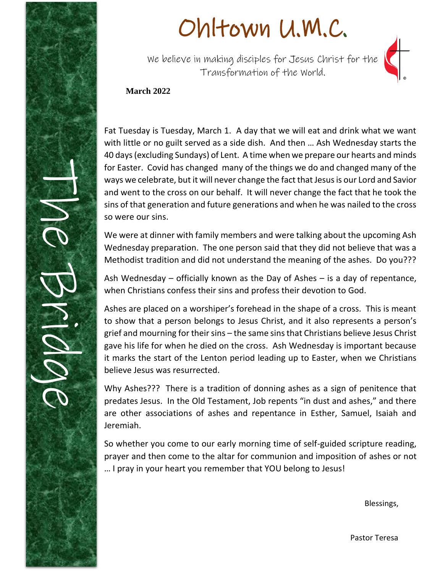

# Ohltown U.M.C.

We believe in making disciples for Jesus Christ for the Transformation of the World.



### **March 2022**

Fat Tuesday is Tuesday, March 1. A day that we will eat and drink what we want with little or no guilt served as a side dish. And then … Ash Wednesday starts the 40 days (excluding Sundays) of Lent. A time when we prepare our hearts and minds for Easter. Covid has changed many of the things we do and changed many of the ways we celebrate, but it will never change the fact that Jesus is our Lord and Savior and went to the cross on our behalf. It will never change the fact that he took the sins of that generation and future generations and when he was nailed to the cross so were our sins.

We were at dinner with family members and were talking about the upcoming Ash Wednesday preparation. The one person said that they did not believe that was a Methodist tradition and did not understand the meaning of the ashes. Do you???

Ash Wednesday – officially known as the Day of Ashes – is a day of repentance, when Christians confess their sins and profess their devotion to God.

Ashes are placed on a worshiper's forehead in the shape of a cross. This is meant to show that a person belongs to Jesus Christ, and it also represents a person's grief and mourning for their sins – the same sins that Christians believe Jesus Christ gave his life for when he died on the cross. Ash Wednesday is important because it marks the start of the Lenton period leading up to Easter, when we Christians believe Jesus was resurrected.

Why Ashes??? There is a tradition of donning ashes as a sign of penitence that predates Jesus. In the Old Testament, Job repents "in dust and ashes," and there are other associations of ashes and repentance in Esther, Samuel, Isaiah and Jeremiah.

So whether you come to our early morning time of self-guided scripture reading, prayer and then come to the altar for communion and imposition of ashes or not … I pray in your heart you remember that YOU belong to Jesus!

Blessings,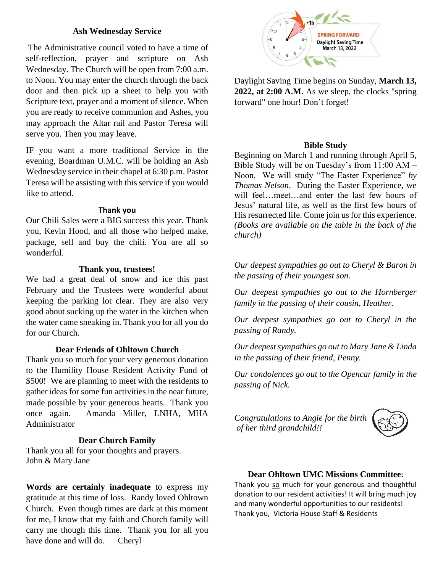#### **Ash Wednesday Service**

The Administrative council voted to have a time of self-reflection, prayer and scripture on Ash Wednesday. The Church will be open from 7:00 a.m. to Noon. You may enter the church through the back door and then pick up a sheet to help you with Scripture text, prayer and a moment of silence. When you are ready to receive communion and Ashes, you may approach the Altar rail and Pastor Teresa will serve you. Then you may leave.

IF you want a more traditional Service in the evening, Boardman U.M.C. will be holding an Ash Wednesday service in their chapel at 6:30 p.m. Pastor Teresa will be assisting with this service if you would like to attend.

#### **Thank you**

Our Chili Sales were a BIG success this year. Thank you, Kevin Hood, and all those who helped make, package, sell and buy the chili. You are all so wonderful.

#### **Thank you, trustees!**

We had a great deal of snow and ice this past February and the Trustees were wonderful about keeping the parking lot clear. They are also very good about sucking up the water in the kitchen when the water came sneaking in. Thank you for all you do for our Church.

#### **Dear Friends of Ohltown Church**

Thank you so much for your very generous donation to the Humility House Resident Activity Fund of \$500! We are planning to meet with the residents to gather ideas for some fun activities in the near future, made possible by your generous hearts. Thank you once again. Amanda Miller, LNHA, MHA Administrator

#### **Dear Church Family**

Thank you all for your thoughts and prayers. John & Mary Jane

**Words are certainly inadequate** to express my gratitude at this time of loss. Randy loved Ohltown Church. Even though times are dark at this moment for me, I know that my faith and Church family will carry me though this time. Thank you for all you have done and will do. Cheryl



Daylight Saving Time begins on Sunday, **March 13, 2022, at 2:00 A.M.** As we sleep, the clocks "spring forward" one hour! Don't forget!

#### **Bible Study**

Beginning on March 1 and running through April 5, Bible Study will be on Tuesday's from 11:00 AM – Noon. We will study "The Easter Experience" *by Thomas Nelson*. During the Easter Experience, we will feel…meet…and enter the last few hours of Jesus' natural life, as well as the first few hours of His resurrected life. Come join us for this experience. *(Books are available on the table in the back of the church)*

*Our deepest sympathies go out to Cheryl & Baron in the passing of their youngest son.*

*Our deepest sympathies go out to the Hornberger family in the passing of their cousin, Heather.*

*Our deepest sympathies go out to Cheryl in the passing of Randy.*

*Our deepest sympathies go out to Mary Jane & Linda in the passing of their friend, Penny.*

*Our condolences go out to the Opencar family in the passing of Nick.*

*Congratulations to Angie for the birth of her third grandchild!!*



#### **Dear Ohltown UMC Missions Committee:**

Thank you so much for your generous and thoughtful donation to our resident activities! It will bring much joy and many wonderful opportunities to our residents! Thank you, Victoria House Staff & Residents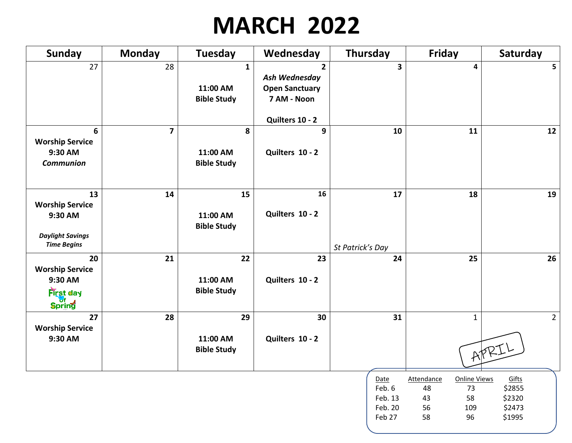## **MARCH 2022**

| <b>Sunday</b>                                                                            | <b>Monday</b>           | <b>Tuesday</b>                                 | Wednesday                                                                                  | <b>Thursday</b>                                | <b>Friday</b>                                                                             | Saturday                                      |
|------------------------------------------------------------------------------------------|-------------------------|------------------------------------------------|--------------------------------------------------------------------------------------------|------------------------------------------------|-------------------------------------------------------------------------------------------|-----------------------------------------------|
| 27                                                                                       | 28                      | $\mathbf{1}$<br>11:00 AM<br><b>Bible Study</b> | $\overline{2}$<br>Ash Wednesday<br><b>Open Sanctuary</b><br>7 AM - Noon<br>Quilters 10 - 2 | $\overline{\mathbf{3}}$                        | 4                                                                                         | 5                                             |
| 6<br><b>Worship Service</b><br>9:30 AM<br><b>Communion</b>                               | $\overline{\mathbf{z}}$ | 8<br>11:00 AM<br><b>Bible Study</b>            | 9<br>Quilters 10 - 2                                                                       | 10                                             | 11                                                                                        | 12                                            |
| 13<br><b>Worship Service</b><br>9:30 AM<br><b>Daylight Savings</b><br><b>Time Begins</b> | 14                      | 15<br>11:00 AM<br><b>Bible Study</b>           | 16<br>Quilters 10 - 2                                                                      | 17<br>St Patrick's Day                         | 18                                                                                        | 19                                            |
| 20<br><b>Worship Service</b><br>9:30 AM<br><b>First day</b><br>Spring                    | 21                      | 22<br>11:00 AM<br><b>Bible Study</b>           | 23<br>Quilters 10 - 2                                                                      | 24                                             | 25                                                                                        | 26                                            |
| 27<br><b>Worship Service</b><br>9:30 AM                                                  | 28                      | 29<br>11:00 AM<br><b>Bible Study</b>           | 30<br>Quilters 10 - 2                                                                      | 31                                             | $\mathbf{1}$                                                                              | $2^{\circ}$<br>APRIL                          |
|                                                                                          |                         |                                                |                                                                                            | Date<br>Feb. 6<br>Feb. 13<br>Feb. 20<br>Feb 27 | <b>Attendance</b><br><b>Online Views</b><br>48<br>73<br>43<br>58<br>56<br>109<br>58<br>96 | Gifts<br>\$2855<br>\$2320<br>\$2473<br>\$1995 |